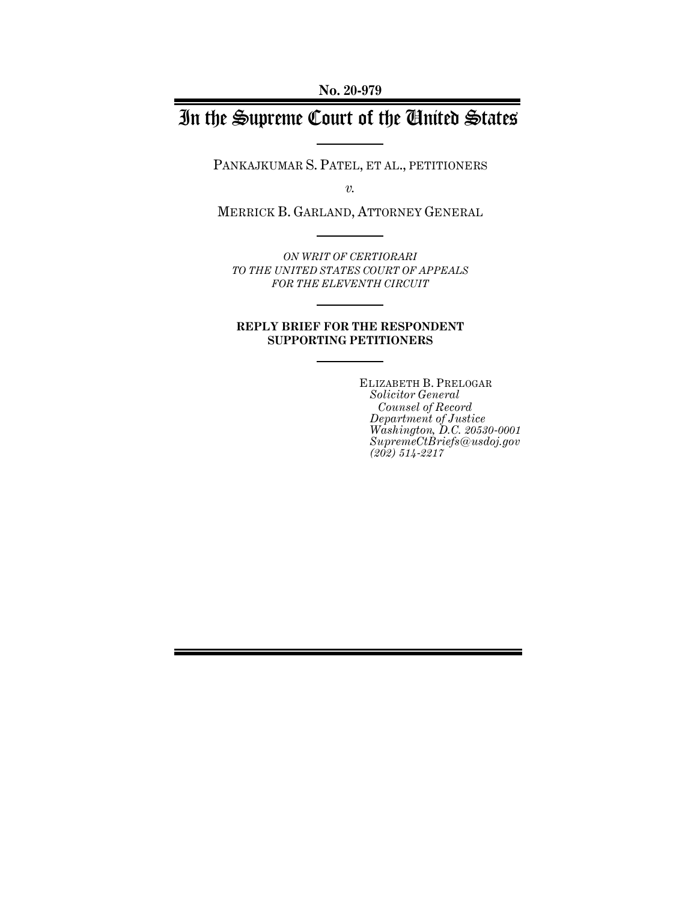**No. 20-979**

# In the Supreme Court of the United States

PANKAJKUMAR S. PATEL, ET AL., PETITIONERS

*v.*

MERRICK B. GARLAND, ATTORNEY GENERAL

*ON WRIT OF CERTIORARI TO THE UNITED STATES COURT OF APPEALS FOR THE ELEVENTH CIRCUIT*

### **REPLY BRIEF FOR THE RESPONDENT SUPPORTING PETITIONERS**

ELIZABETH B. PRELOGAR *Solicitor General Counsel of Record Department of Justice Washington, D.C. 20530-0001 SupremeCtBriefs@usdoj.gov (202) 514-2217*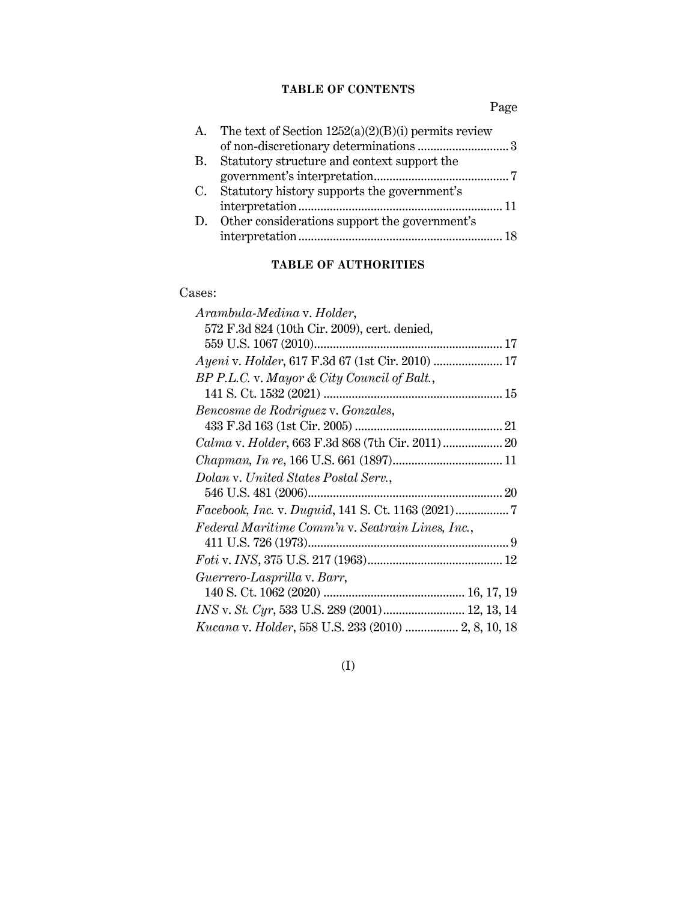## **TABLE OF CONTENTS**

Page

| The text of Section $1252(a)(2)(B)(i)$ permits review |  |
|-------------------------------------------------------|--|
|                                                       |  |
| Statutory structure and context support the           |  |
|                                                       |  |
| Statutory history supports the government's           |  |
|                                                       |  |
| Other considerations support the government's         |  |
|                                                       |  |
|                                                       |  |

# **TABLE OF AUTHORITIES**

### Cases:

| Arambula-Medina v. Holder,                          |
|-----------------------------------------------------|
| 572 F.3d 824 (10th Cir. 2009), cert. denied,        |
|                                                     |
| Ayeni v. Holder, 617 F.3d 67 (1st Cir. 2010)  17    |
| BP P.L.C. v. Mayor & City Council of Balt.,         |
|                                                     |
| Bencosme de Rodriguez v. Gonzales,                  |
|                                                     |
|                                                     |
|                                                     |
| Dolan v. United States Postal Serv.,                |
|                                                     |
|                                                     |
| Federal Maritime Comm'n v. Seatrain Lines, Inc.,    |
|                                                     |
|                                                     |
| Guerrero-Lasprilla v. Barr,                         |
|                                                     |
| INS v. St. Cyr, 533 U.S. 289 (2001) 12, 13, 14      |
| Kucana v. Holder, 558 U.S. 233 (2010)  2, 8, 10, 18 |
|                                                     |

# (I)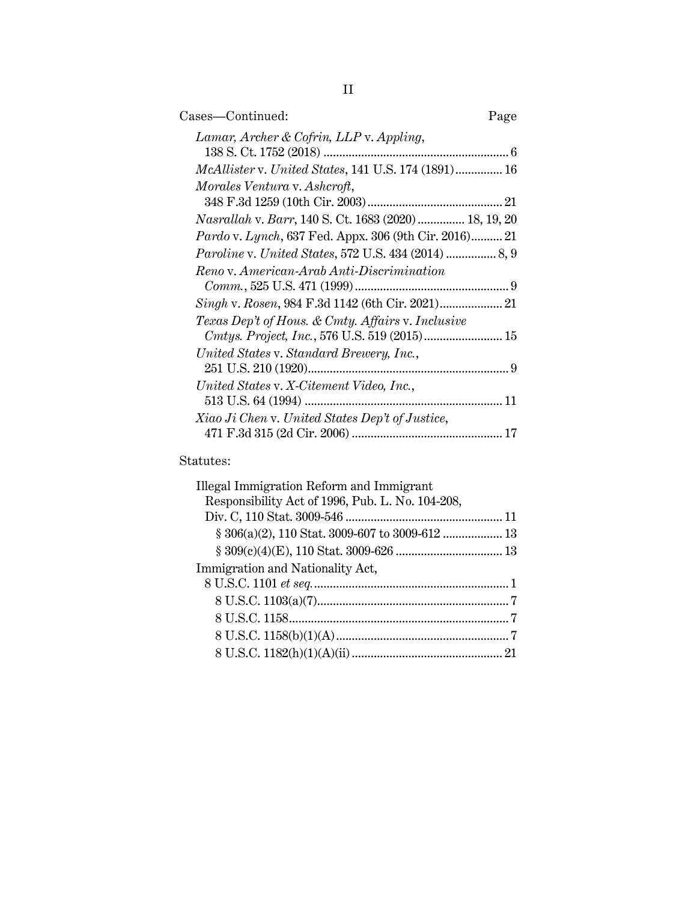| Cases—Continued:                                            | Page |
|-------------------------------------------------------------|------|
| Lamar, Archer & Cofrin, LLP v. Appling,                     |      |
| McAllister v. United States, 141 U.S. 174 (1891) 16         |      |
| Morales Ventura v. Ashcroft,                                |      |
|                                                             |      |
| Nasrallah v. Barr, 140 S. Ct. 1683 (2020)  18, 19, 20       |      |
| Pardo v. Lynch, 637 Fed. Appx. 306 (9th Cir. 2016) 21       |      |
| <i>Paroline v. United States, 572 U.S. 434 (2014) </i> 8, 9 |      |
| Reno v. American-Arab Anti-Discrimination                   |      |
|                                                             |      |
|                                                             |      |
| Texas Dep't of Hous. & Cmty. Affairs v. Inclusive           |      |
| United States v. Standard Brewery, Inc.,                    |      |
| United States v. X-Citement Video, Inc.,                    |      |
|                                                             |      |
| Xiao Ji Chen v. United States Dep't of Justice,             |      |
|                                                             |      |
|                                                             |      |

## Statutes:

| Illegal Immigration Reform and Immigrant         |  |
|--------------------------------------------------|--|
| Responsibility Act of 1996, Pub. L. No. 104-208, |  |
|                                                  |  |
|                                                  |  |
|                                                  |  |
| Immigration and Nationality Act,                 |  |
|                                                  |  |
|                                                  |  |
|                                                  |  |
|                                                  |  |
|                                                  |  |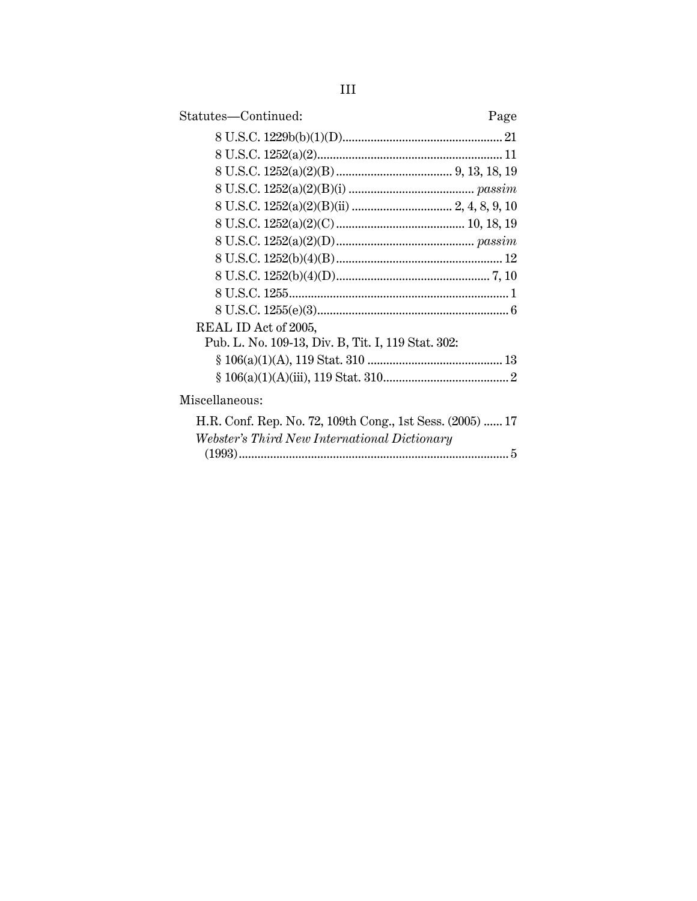| Statutes-Continued:<br>Page                               |
|-----------------------------------------------------------|
|                                                           |
|                                                           |
|                                                           |
|                                                           |
|                                                           |
|                                                           |
|                                                           |
|                                                           |
|                                                           |
|                                                           |
|                                                           |
| REAL ID Act of 2005,                                      |
| Pub. L. No. 109-13, Div. B, Tit. I, 119 Stat. 302:        |
|                                                           |
|                                                           |
| Miscellaneous:                                            |
| H.R. Conf. Rep. No. 72, 109th Cong., 1st Sess. (2005)  17 |
| Webster's Third New International Dictionary              |
|                                                           |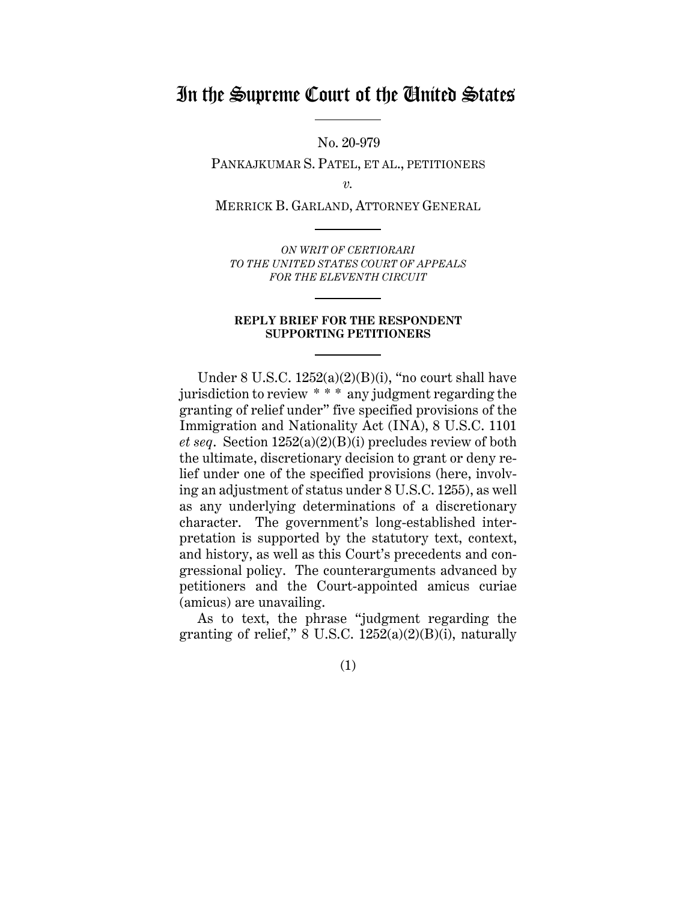# In the Supreme Court of the United States

No. 20-979

PANKAJKUMAR S. PATEL, ET AL., PETITIONERS

*v.*

MERRICK B. GARLAND, ATTORNEY GENERAL

*ON WRIT OF CERTIORARI TO THE UNITED STATES COURT OF APPEALS FOR THE ELEVENTH CIRCUIT*

#### **REPLY BRIEF FOR THE RESPONDENT SUPPORTING PETITIONERS**

Under 8 U.S.C. 1252(a)(2)(B)(i), "no court shall have jurisdiction to review \* \* \* any judgment regarding the granting of relief under" five specified provisions of the Immigration and Nationality Act (INA), 8 U.S.C. 1101 *et seq*. Section 1252(a)(2)(B)(i) precludes review of both the ultimate, discretionary decision to grant or deny relief under one of the specified provisions (here, involving an adjustment of status under 8 U.S.C. 1255), as well as any underlying determinations of a discretionary character. The government's long-established interpretation is supported by the statutory text, context, and history, as well as this Court's precedents and congressional policy. The counterarguments advanced by petitioners and the Court-appointed amicus curiae (amicus) are unavailing.

As to text, the phrase "judgment regarding the granting of relief,"  $8 \text{ U.S.C. } 1252(a)(2)(B)(i)$ , naturally

(1)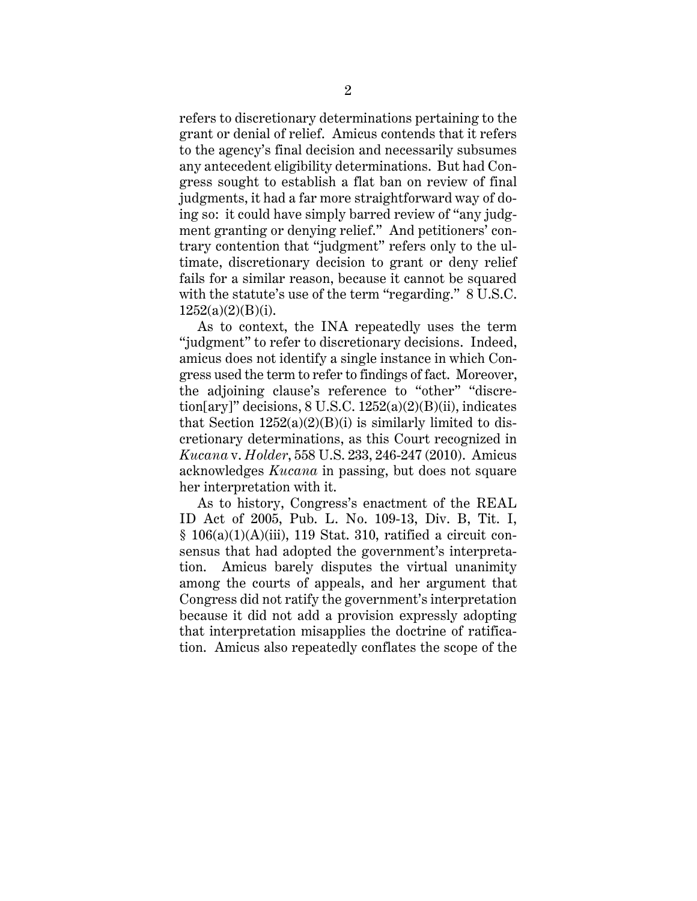refers to discretionary determinations pertaining to the grant or denial of relief. Amicus contends that it refers to the agency's final decision and necessarily subsumes any antecedent eligibility determinations. But had Congress sought to establish a flat ban on review of final judgments, it had a far more straightforward way of doing so: it could have simply barred review of "any judgment granting or denying relief." And petitioners' contrary contention that "judgment" refers only to the ultimate, discretionary decision to grant or deny relief fails for a similar reason, because it cannot be squared with the statute's use of the term "regarding." 8 U.S.C.  $1252(a)(2)(B)(i)$ .

As to context, the INA repeatedly uses the term "judgment" to refer to discretionary decisions. Indeed, amicus does not identify a single instance in which Congress used the term to refer to findings of fact. Moreover, the adjoining clause's reference to "other" "discretion[ary]" decisions,  $8 \text{ U.S.C. } 1252(a)(2)(B)(ii)$ , indicates that Section  $1252(a)(2)(B)(i)$  is similarly limited to discretionary determinations, as this Court recognized in *Kucana* v. *Holder*, 558 U.S. 233, 246-247 (2010). Amicus acknowledges *Kucana* in passing, but does not square her interpretation with it.

As to history, Congress's enactment of the REAL ID Act of 2005, Pub. L. No. 109-13, Div. B, Tit. I,  $§ 106(a)(1)(A)(iii)$ , 119 Stat. 310, ratified a circuit consensus that had adopted the government's interpretation. Amicus barely disputes the virtual unanimity among the courts of appeals, and her argument that Congress did not ratify the government's interpretation because it did not add a provision expressly adopting that interpretation misapplies the doctrine of ratification. Amicus also repeatedly conflates the scope of the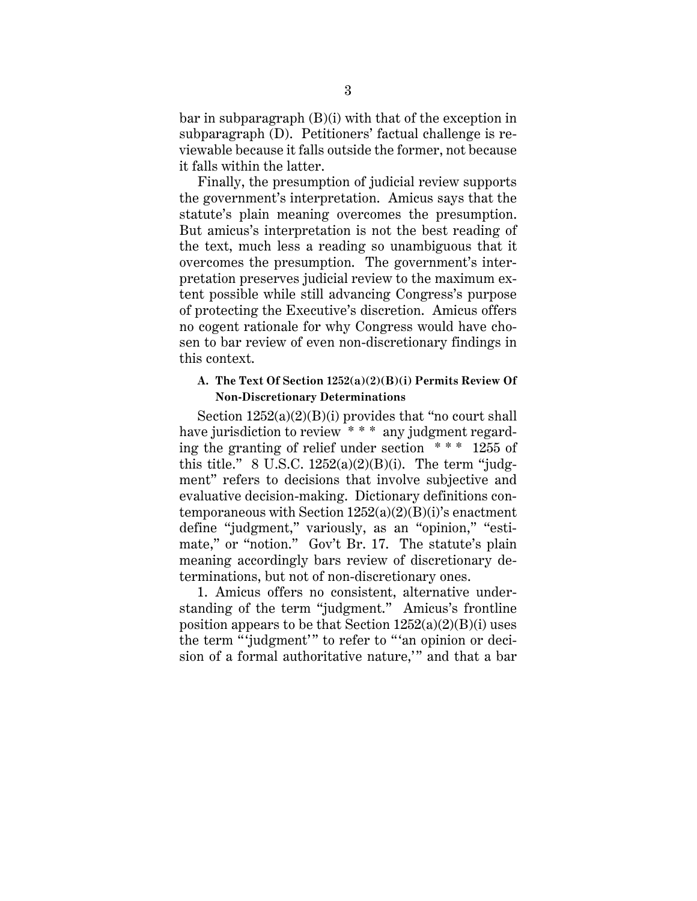bar in subparagraph (B)(i) with that of the exception in subparagraph (D). Petitioners' factual challenge is reviewable because it falls outside the former, not because it falls within the latter.

Finally, the presumption of judicial review supports the government's interpretation. Amicus says that the statute's plain meaning overcomes the presumption. But amicus's interpretation is not the best reading of the text, much less a reading so unambiguous that it overcomes the presumption. The government's interpretation preserves judicial review to the maximum extent possible while still advancing Congress's purpose of protecting the Executive's discretion. Amicus offers no cogent rationale for why Congress would have chosen to bar review of even non-discretionary findings in this context.

### **A. The Text Of Section 1252(a)(2)(B)(i) Permits Review Of Non-Discretionary Determinations**

Section  $1252(a)(2)(B)(i)$  provides that "no court shall" have jurisdiction to review \* \* \* any judgment regarding the granting of relief under section  $***$  1255 of this title." 8 U.S.C.  $1252(a)(2)(B)(i)$ . The term "judgment" refers to decisions that involve subjective and evaluative decision-making. Dictionary definitions contemporaneous with Section  $1252(a)(2)(B)(i)$ 's enactment define "judgment," variously, as an "opinion," "estimate," or "notion." Gov't Br. 17. The statute's plain meaning accordingly bars review of discretionary determinations, but not of non-discretionary ones.

1. Amicus offers no consistent, alternative understanding of the term "judgment." Amicus's frontline position appears to be that Section  $1252(a)(2)(B)(i)$  uses the term "'judgment'" to refer to "'an opinion or decision of a formal authoritative nature,'" and that a bar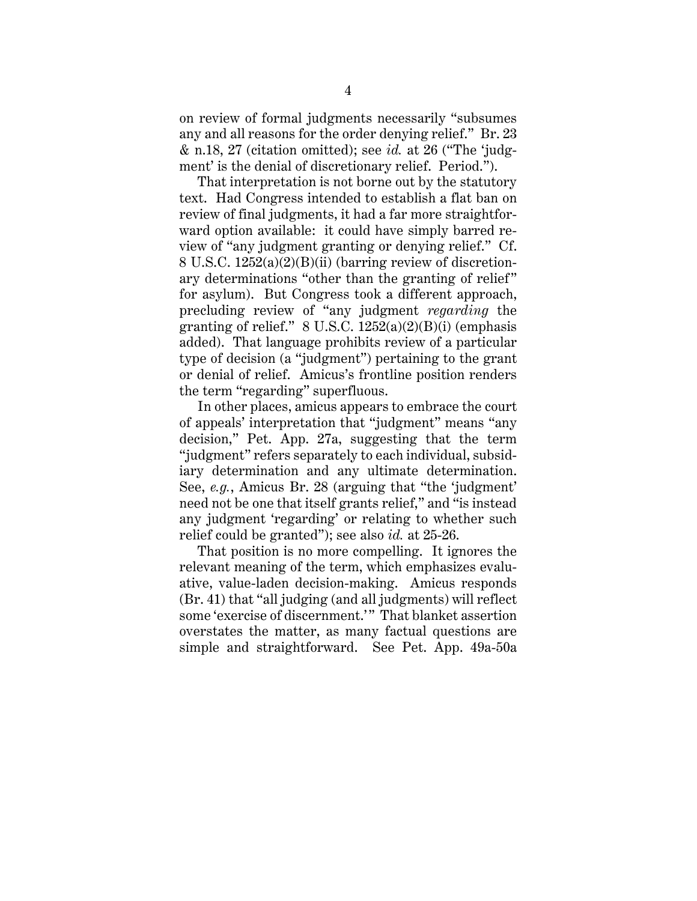on review of formal judgments necessarily "subsumes any and all reasons for the order denying relief." Br. 23 & n.18, 27 (citation omitted); see *id.* at 26 ("The 'judgment' is the denial of discretionary relief. Period.").

That interpretation is not borne out by the statutory text. Had Congress intended to establish a flat ban on review of final judgments, it had a far more straightforward option available: it could have simply barred review of "any judgment granting or denying relief." Cf. 8 U.S.C. 1252(a)(2)(B)(ii) (barring review of discretionary determinations "other than the granting of relief" for asylum). But Congress took a different approach, precluding review of "any judgment *regarding* the granting of relief."  $8 \text{ U.S.C. } 1252(a)(2)(B)(i)$  (emphasis added). That language prohibits review of a particular type of decision (a "judgment") pertaining to the grant or denial of relief. Amicus's frontline position renders the term "regarding" superfluous.

In other places, amicus appears to embrace the court of appeals' interpretation that "judgment" means "any decision," Pet. App. 27a, suggesting that the term "judgment" refers separately to each individual, subsidiary determination and any ultimate determination. See, *e.g.*, Amicus Br. 28 (arguing that "the 'judgment' need not be one that itself grants relief," and "is instead any judgment 'regarding' or relating to whether such relief could be granted"); see also *id.* at 25-26.

That position is no more compelling. It ignores the relevant meaning of the term, which emphasizes evaluative, value-laden decision-making. Amicus responds (Br. 41) that "all judging (and all judgments) will reflect some 'exercise of discernment.'" That blanket assertion overstates the matter, as many factual questions are simple and straightforward. See Pet. App. 49a-50a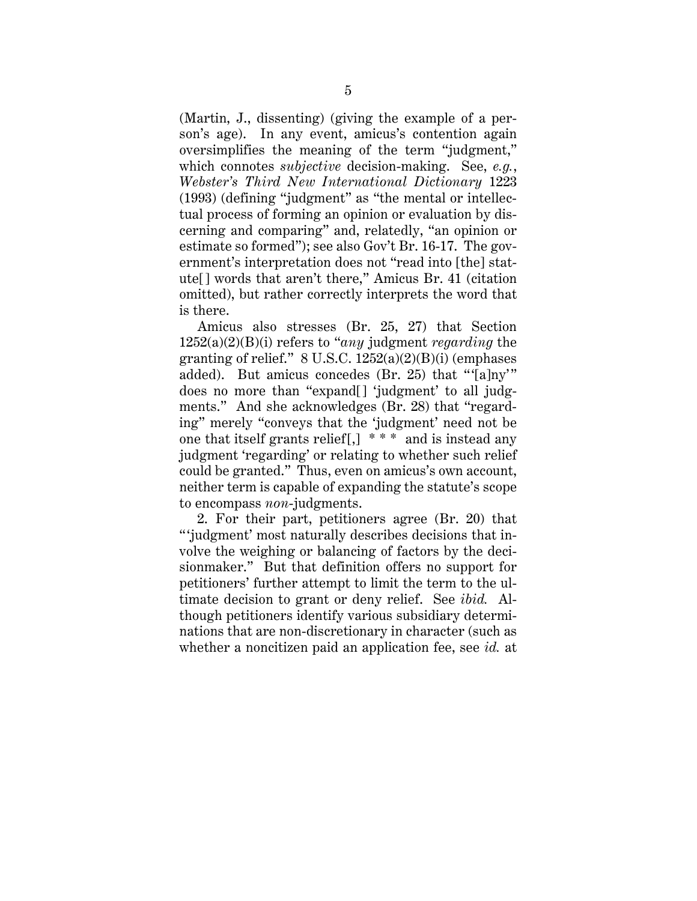(Martin, J., dissenting) (giving the example of a person's age). In any event, amicus's contention again oversimplifies the meaning of the term "judgment," which connotes *subjective* decision-making. See, *e.g.*, *Webster's Third New International Dictionary* 1223 (1993) (defining "judgment" as "the mental or intellectual process of forming an opinion or evaluation by discerning and comparing" and, relatedly, "an opinion or estimate so formed"); see also Gov't Br. 16-17. The government's interpretation does not "read into [the] statute[] words that aren't there," Amicus Br. 41 (citation omitted), but rather correctly interprets the word that is there.

Amicus also stresses (Br. 25, 27) that Section 1252(a)(2)(B)(i) refers to "*any* judgment *regarding* the granting of relief."  $8 \text{ U.S.C. } 1252(a)(2)(B)(i)$  (emphases added). But amicus concedes (Br. 25) that "'[a]ny'" does no more than "expand[] 'judgment' to all judgments." And she acknowledges (Br. 28) that "regarding" merely "conveys that the 'judgment' need not be one that itself grants relief  $\left[ , \right]$ <sup>\*\*\*</sup> and is instead any judgment 'regarding' or relating to whether such relief could be granted." Thus, even on amicus's own account, neither term is capable of expanding the statute's scope to encompass *non*-judgments.

2. For their part, petitioners agree (Br. 20) that " 'judgment' most naturally describes decisions that involve the weighing or balancing of factors by the decisionmaker." But that definition offers no support for petitioners' further attempt to limit the term to the ultimate decision to grant or deny relief. See *ibid.* Although petitioners identify various subsidiary determinations that are non-discretionary in character (such as whether a noncitizen paid an application fee, see *id.* at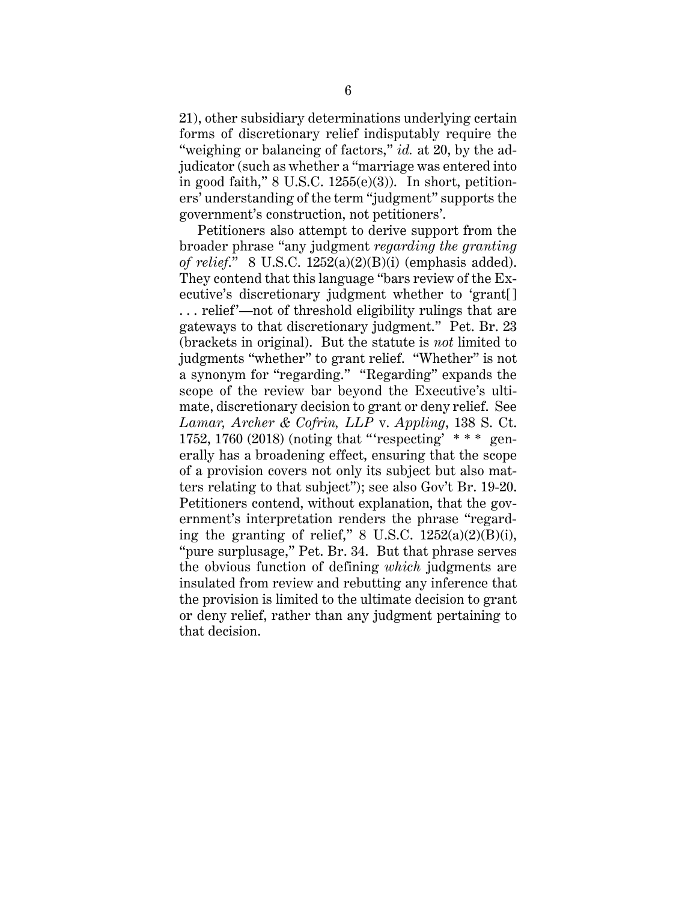21), other subsidiary determinations underlying certain forms of discretionary relief indisputably require the "weighing or balancing of factors," *id.* at 20, by the adjudicator (such as whether a "marriage was entered into in good faith,"  $8 \text{ U.S.C. } 1255(e)(3)$ ). In short, petitioners' understanding of the term "judgment" supports the government's construction, not petitioners'.

Petitioners also attempt to derive support from the broader phrase "any judgment *regarding the granting of relief*." 8 U.S.C. 1252(a)(2)(B)(i) (emphasis added). They contend that this language "bars review of the Executive's discretionary judgment whether to 'grant[] . . . relief'—not of threshold eligibility rulings that are gateways to that discretionary judgment." Pet. Br. 23 (brackets in original). But the statute is *not* limited to judgments "whether" to grant relief. "Whether" is not a synonym for "regarding." "Regarding" expands the scope of the review bar beyond the Executive's ultimate, discretionary decision to grant or deny relief. See *Lamar, Archer & Cofrin, LLP* v. *Appling*, 138 S. Ct. 1752, 1760 (2018) (noting that "'respecting'  $***$  generally has a broadening effect, ensuring that the scope of a provision covers not only its subject but also matters relating to that subject"); see also Gov't Br. 19-20. Petitioners contend, without explanation, that the government's interpretation renders the phrase "regarding the granting of relief," 8 U.S.C.  $1252(a)(2)(B)(i)$ , "pure surplusage," Pet. Br. 34. But that phrase serves the obvious function of defining *which* judgments are insulated from review and rebutting any inference that the provision is limited to the ultimate decision to grant or deny relief, rather than any judgment pertaining to that decision.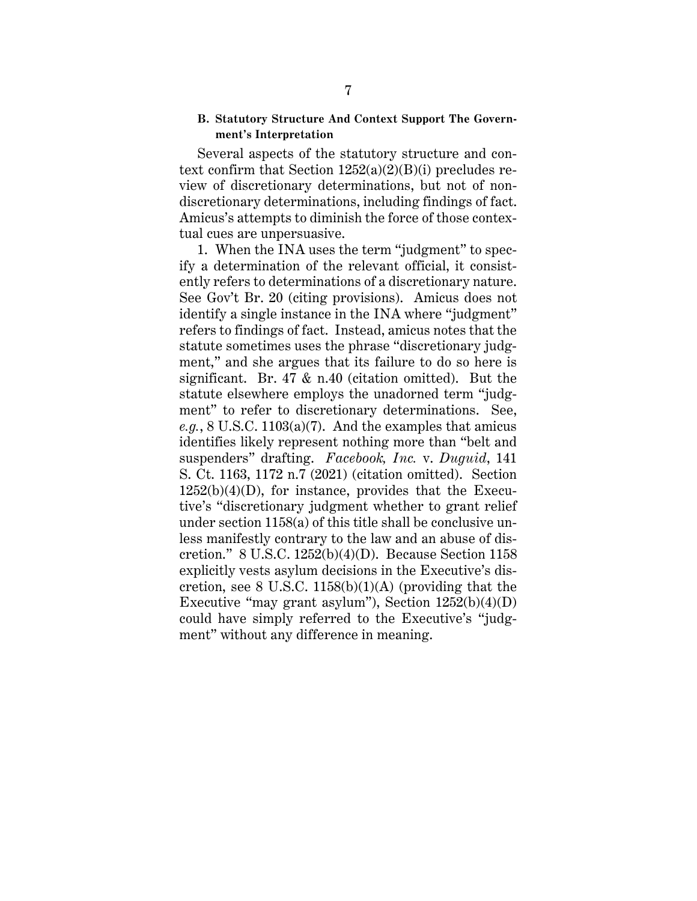### **B. Statutory Structure And Context Support The Government's Interpretation**

Several aspects of the statutory structure and context confirm that Section  $1252(a)(2)(B)(i)$  precludes review of discretionary determinations, but not of nondiscretionary determinations, including findings of fact. Amicus's attempts to diminish the force of those contextual cues are unpersuasive.

1. When the INA uses the term "judgment" to specify a determination of the relevant official, it consistently refers to determinations of a discretionary nature. See Gov't Br. 20 (citing provisions). Amicus does not identify a single instance in the INA where "judgment" refers to findings of fact. Instead, amicus notes that the statute sometimes uses the phrase "discretionary judgment," and she argues that its failure to do so here is significant. Br. 47 & n.40 (citation omitted). But the statute elsewhere employs the unadorned term "judgment" to refer to discretionary determinations. See, *e.g.*, 8 U.S.C. 1103(a)(7). And the examples that amicus identifies likely represent nothing more than "belt and suspenders" drafting. *Facebook, Inc.* v. *Duguid*, 141 S. Ct. 1163, 1172 n.7 (2021) (citation omitted). Section  $1252(b)(4)(D)$ , for instance, provides that the Executive's "discretionary judgment whether to grant relief under section 1158(a) of this title shall be conclusive unless manifestly contrary to the law and an abuse of discretion." 8 U.S.C. 1252(b)(4)(D). Because Section 1158 explicitly vests asylum decisions in the Executive's discretion, see 8 U.S.C.  $1158(b)(1)(A)$  (providing that the Executive "may grant asylum"), Section  $1252(b)(4)(D)$ could have simply referred to the Executive's "judgment" without any difference in meaning.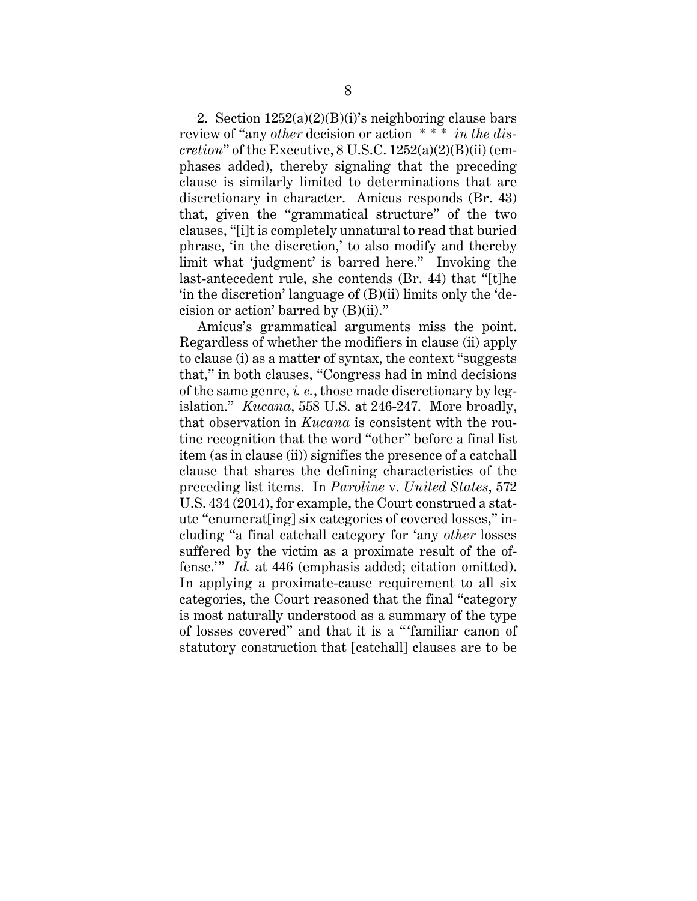2. Section  $1252(a)(2)(B)(i)$ 's neighboring clause bars review of "any *other* decision or action \* \* \* *in the discretion*" of the Executive, 8 U.S.C. 1252(a)(2)(B)(ii) (emphases added), thereby signaling that the preceding clause is similarly limited to determinations that are discretionary in character. Amicus responds (Br. 43) that, given the "grammatical structure" of the two clauses, "[i]t is completely unnatural to read that buried phrase, 'in the discretion,' to also modify and thereby limit what 'judgment' is barred here." Invoking the last-antecedent rule, she contends (Br. 44) that "[t]he 'in the discretion' language of (B)(ii) limits only the 'decision or action' barred by (B)(ii)."

Amicus's grammatical arguments miss the point. Regardless of whether the modifiers in clause (ii) apply to clause (i) as a matter of syntax, the context "suggests that," in both clauses, "Congress had in mind decisions of the same genre, *i. e.*, those made discretionary by legislation." *Kucana*, 558 U.S. at 246-247. More broadly, that observation in *Kucana* is consistent with the routine recognition that the word "other" before a final list item (as in clause (ii)) signifies the presence of a catchall clause that shares the defining characteristics of the preceding list items. In *Paroline* v. *United States*, 572 U.S. 434 (2014), for example, the Court construed a statute "enumerat[ing] six categories of covered losses," including "a final catchall category for 'any *other* losses suffered by the victim as a proximate result of the offense.'" *Id.* at 446 (emphasis added; citation omitted). In applying a proximate-cause requirement to all six categories, the Court reasoned that the final "category is most naturally understood as a summary of the type of losses covered" and that it is a " 'familiar canon of statutory construction that [catchall] clauses are to be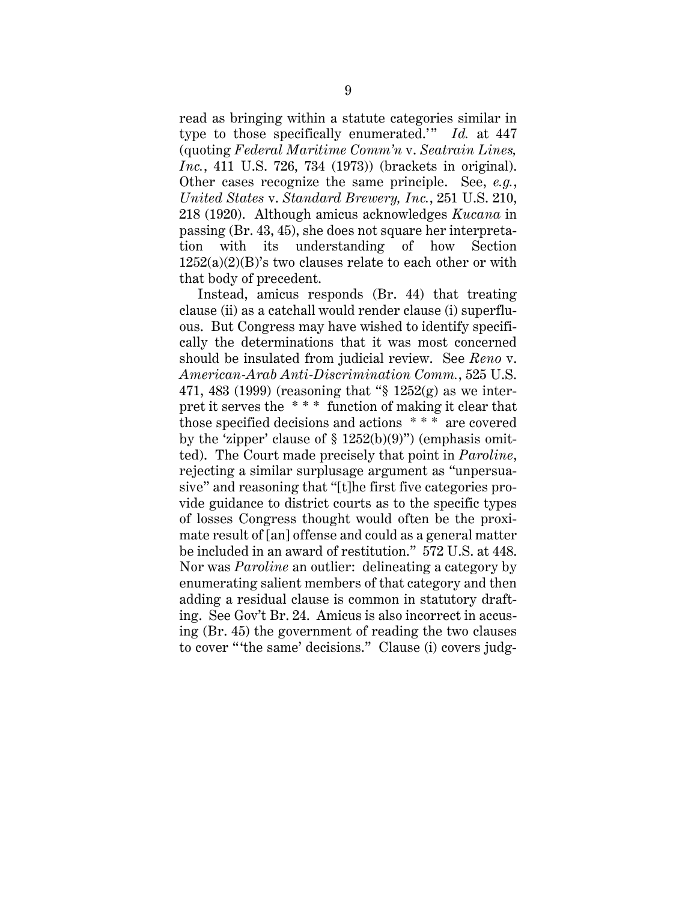read as bringing within a statute categories similar in type to those specifically enumerated." *Id.* at 447 (quoting *Federal Maritime Comm'n* v. *Seatrain Lines, Inc.*, 411 U.S. 726, 734 (1973)) (brackets in original). Other cases recognize the same principle. See, *e.g.*, *United States* v. *Standard Brewery, Inc.*, 251 U.S. 210, 218 (1920). Although amicus acknowledges *Kucana* in passing (Br. 43, 45), she does not square her interpretation with its understanding of how Section  $1252(a)(2)(B)$ 's two clauses relate to each other or with that body of precedent.

Instead, amicus responds (Br. 44) that treating clause (ii) as a catchall would render clause (i) superfluous. But Congress may have wished to identify specifically the determinations that it was most concerned should be insulated from judicial review. See *Reno* v. *American-Arab Anti-Discrimination Comm.*, 525 U.S. 471, 483 (1999) (reasoning that "§ 1252(g) as we interpret it serves the \* \* \* function of making it clear that those specified decisions and actions \* \* \* are covered by the 'zipper' clause of  $\S 1252(b)(9)$ " (emphasis omitted). The Court made precisely that point in *Paroline*, rejecting a similar surplusage argument as "unpersuasive" and reasoning that "[t]he first five categories provide guidance to district courts as to the specific types of losses Congress thought would often be the proximate result of [an] offense and could as a general matter be included in an award of restitution." 572 U.S. at 448. Nor was *Paroline* an outlier: delineating a category by enumerating salient members of that category and then adding a residual clause is common in statutory drafting. See Gov't Br. 24. Amicus is also incorrect in accusing (Br. 45) the government of reading the two clauses to cover "'the same' decisions." Clause (i) covers judg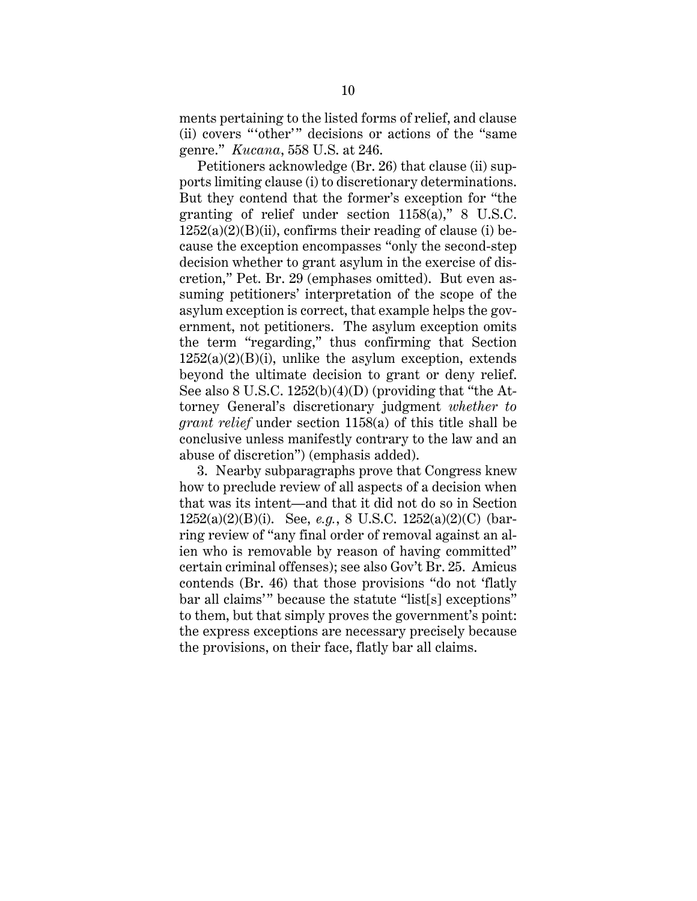ments pertaining to the listed forms of relief, and clause (ii) covers "other" decisions or actions of the "same" genre." *Kucana*, 558 U.S. at 246.

Petitioners acknowledge (Br. 26) that clause (ii) supports limiting clause (i) to discretionary determinations. But they contend that the former's exception for "the granting of relief under section 1158(a)," 8 U.S.C.  $1252(a)(2)(B)(ii)$ , confirms their reading of clause (i) because the exception encompasses "only the second-step decision whether to grant asylum in the exercise of discretion," Pet. Br. 29 (emphases omitted). But even assuming petitioners' interpretation of the scope of the asylum exception is correct, that example helps the government, not petitioners. The asylum exception omits the term "regarding," thus confirming that Section  $1252(a)(2)(B)(i)$ , unlike the asylum exception, extends beyond the ultimate decision to grant or deny relief. See also 8 U.S.C. 1252(b)(4)(D) (providing that "the Attorney General's discretionary judgment *whether to grant relief* under section 1158(a) of this title shall be conclusive unless manifestly contrary to the law and an abuse of discretion") (emphasis added).

3. Nearby subparagraphs prove that Congress knew how to preclude review of all aspects of a decision when that was its intent—and that it did not do so in Section 1252(a)(2)(B)(i). See, *e.g.*, 8 U.S.C. 1252(a)(2)(C) (barring review of "any final order of removal against an alien who is removable by reason of having committed" certain criminal offenses); see also Gov't Br. 25. Amicus contends (Br. 46) that those provisions "do not 'flatly bar all claims'" because the statute "list[s] exceptions" to them, but that simply proves the government's point: the express exceptions are necessary precisely because the provisions, on their face, flatly bar all claims.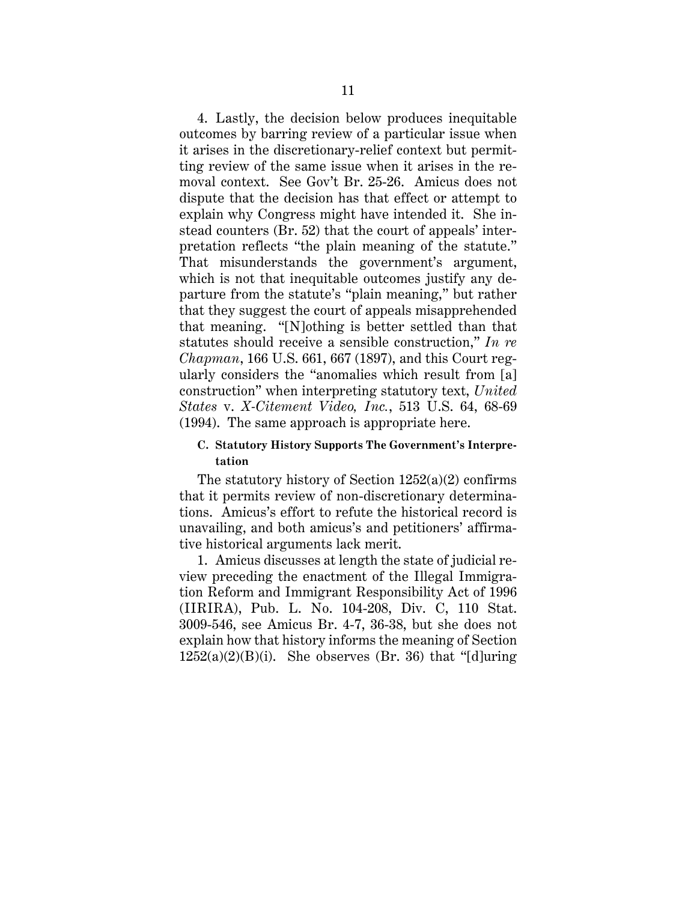4. Lastly, the decision below produces inequitable outcomes by barring review of a particular issue when it arises in the discretionary-relief context but permitting review of the same issue when it arises in the removal context. See Gov't Br. 25-26. Amicus does not dispute that the decision has that effect or attempt to explain why Congress might have intended it. She instead counters (Br. 52) that the court of appeals' interpretation reflects "the plain meaning of the statute." That misunderstands the government's argument, which is not that inequitable outcomes justify any departure from the statute's "plain meaning," but rather that they suggest the court of appeals misapprehended that meaning. "[N]othing is better settled than that statutes should receive a sensible construction," *In re Chapman*, 166 U.S. 661, 667 (1897), and this Court regularly considers the "anomalies which result from [a] construction" when interpreting statutory text, *United States* v. *X-Citement Video, Inc.*, 513 U.S. 64, 68-69 (1994). The same approach is appropriate here.

### **C. Statutory History Supports The Government's Interpretation**

The statutory history of Section 1252(a)(2) confirms that it permits review of non-discretionary determinations. Amicus's effort to refute the historical record is unavailing, and both amicus's and petitioners' affirmative historical arguments lack merit.

1. Amicus discusses at length the state of judicial review preceding the enactment of the Illegal Immigration Reform and Immigrant Responsibility Act of 1996 (IIRIRA), Pub. L. No. 104-208, Div. C, 110 Stat. 3009-546, see Amicus Br. 4-7, 36-38, but she does not explain how that history informs the meaning of Section  $1252(a)(2)(B)(i)$ . She observes (Br. 36) that "[d]uring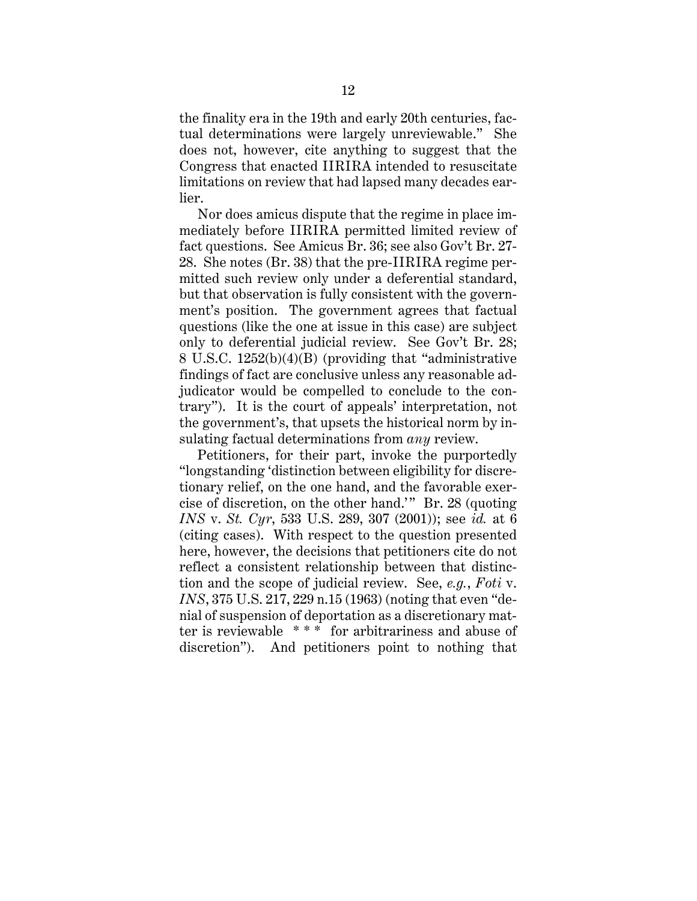the finality era in the 19th and early 20th centuries, factual determinations were largely unreviewable." She does not, however, cite anything to suggest that the Congress that enacted IIRIRA intended to resuscitate limitations on review that had lapsed many decades earlier.

Nor does amicus dispute that the regime in place immediately before IIRIRA permitted limited review of fact questions. See Amicus Br. 36; see also Gov't Br. 27- 28. She notes (Br. 38) that the pre-IIRIRA regime permitted such review only under a deferential standard, but that observation is fully consistent with the government's position. The government agrees that factual questions (like the one at issue in this case) are subject only to deferential judicial review. See Gov't Br. 28; 8 U.S.C. 1252(b)(4)(B) (providing that "administrative findings of fact are conclusive unless any reasonable adjudicator would be compelled to conclude to the contrary"). It is the court of appeals' interpretation, not the government's, that upsets the historical norm by insulating factual determinations from *any* review.

Petitioners, for their part, invoke the purportedly "longstanding 'distinction between eligibility for discretionary relief, on the one hand, and the favorable exercise of discretion, on the other hand.'" Br. 28 (quoting *INS* v. *St. Cyr*, 533 U.S. 289, 307 (2001)); see *id.* at 6 (citing cases). With respect to the question presented here, however, the decisions that petitioners cite do not reflect a consistent relationship between that distinction and the scope of judicial review. See, *e.g.*, *Foti* v. *INS*, 375 U.S. 217, 229 n.15 (1963) (noting that even "denial of suspension of deportation as a discretionary matter is reviewable \* \* \* for arbitrariness and abuse of discretion"). And petitioners point to nothing that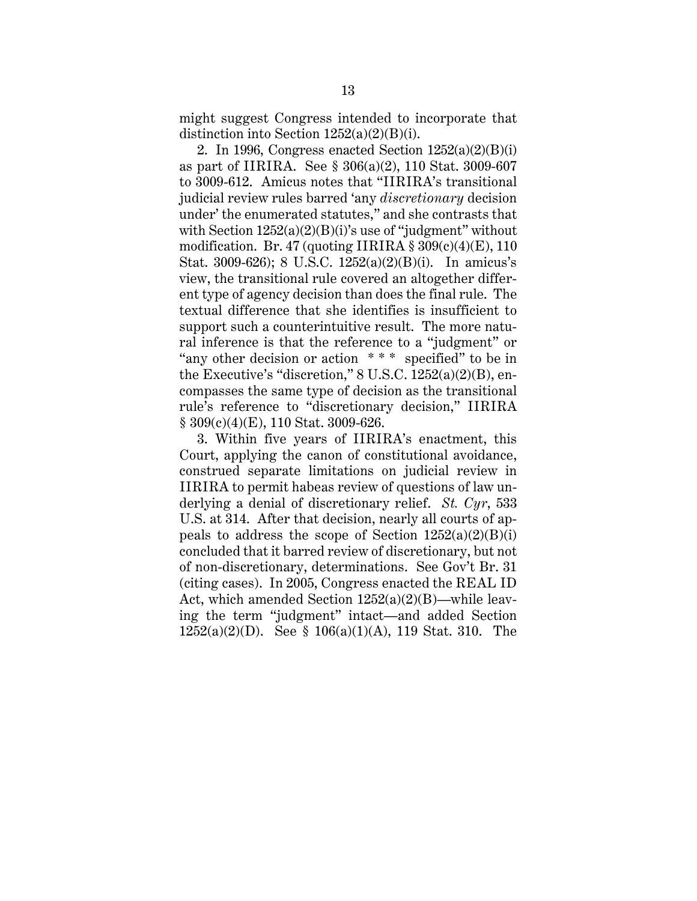might suggest Congress intended to incorporate that distinction into Section 1252(a)(2)(B)(i).

2. In 1996, Congress enacted Section  $1252(a)(2)(B)(i)$ as part of IIRIRA. See § 306(a)(2), 110 Stat. 3009-607 to 3009-612. Amicus notes that "IIRIRA's transitional judicial review rules barred 'any *discretionary* decision under' the enumerated statutes," and she contrasts that with Section  $1252(a)(2)(B)(i)$ 's use of "judgment" without modification. Br. 47 (quoting IIRIRA  $\S 309(c)(4)(E)$ , 110 Stat. 3009-626); 8 U.S.C. 1252(a)(2)(B)(i). In amicus's view, the transitional rule covered an altogether different type of agency decision than does the final rule. The textual difference that she identifies is insufficient to support such a counterintuitive result. The more natural inference is that the reference to a "judgment" or "any other decision or action \* \* \* specified" to be in the Executive's "discretion," 8 U.S.C. 1252(a)(2)(B), encompasses the same type of decision as the transitional rule's reference to "discretionary decision," IIRIRA § 309(c)(4)(E), 110 Stat. 3009-626.

3. Within five years of IIRIRA's enactment, this Court, applying the canon of constitutional avoidance, construed separate limitations on judicial review in IIRIRA to permit habeas review of questions of law underlying a denial of discretionary relief. *St. Cyr*, 533 U.S. at 314. After that decision, nearly all courts of appeals to address the scope of Section  $1252(a)(2)(B)(i)$ concluded that it barred review of discretionary, but not of non-discretionary, determinations. See Gov't Br. 31 (citing cases). In 2005, Congress enacted the REAL ID Act, which amended Section  $1252(a)(2)(B)$ —while leaving the term "judgment" intact—and added Section 1252(a)(2)(D). See § 106(a)(1)(A), 119 Stat. 310. The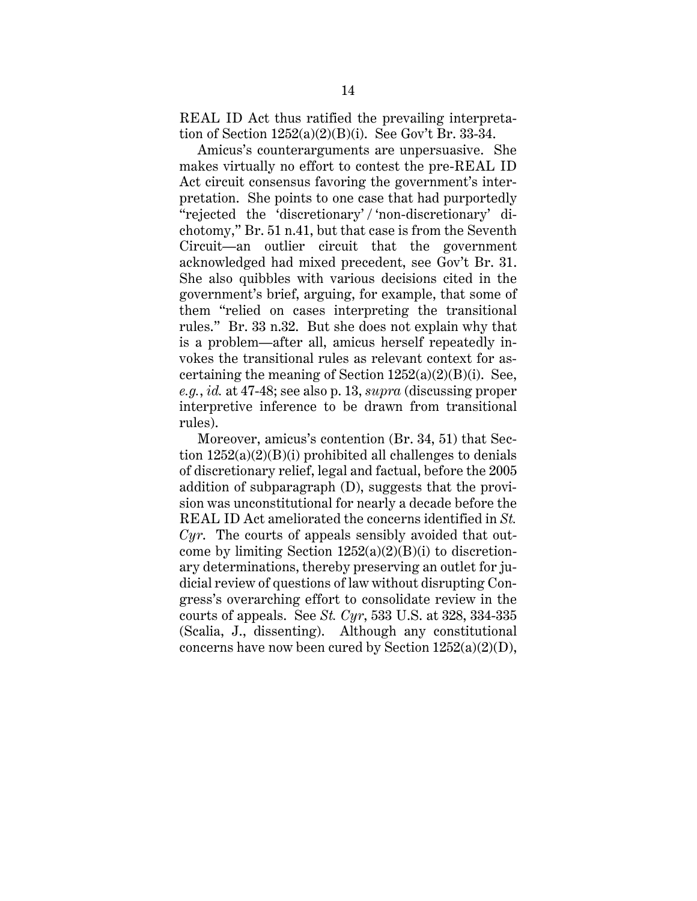REAL ID Act thus ratified the prevailing interpretation of Section  $1252(a)(2)(B)(i)$ . See Gov't Br. 33-34.

Amicus's counterarguments are unpersuasive. She makes virtually no effort to contest the pre-REAL ID Act circuit consensus favoring the government's interpretation. She points to one case that had purportedly "rejected the 'discretionary' / 'non-discretionary' dichotomy," Br. 51 n.41, but that case is from the Seventh Circuit—an outlier circuit that the government acknowledged had mixed precedent, see Gov't Br. 31. She also quibbles with various decisions cited in the government's brief, arguing, for example, that some of them "relied on cases interpreting the transitional rules." Br. 33 n.32. But she does not explain why that is a problem—after all, amicus herself repeatedly invokes the transitional rules as relevant context for ascertaining the meaning of Section  $1252(a)(2)(B)(i)$ . See, *e.g.*, *id.* at 47-48; see also p. 13, *supra* (discussing proper interpretive inference to be drawn from transitional rules).

Moreover, amicus's contention (Br. 34, 51) that Section  $1252(a)(2)(B)(i)$  prohibited all challenges to denials of discretionary relief, legal and factual, before the 2005 addition of subparagraph (D), suggests that the provision was unconstitutional for nearly a decade before the REAL ID Act ameliorated the concerns identified in *St. Cyr*. The courts of appeals sensibly avoided that outcome by limiting Section  $1252(a)(2)(B)(i)$  to discretionary determinations, thereby preserving an outlet for judicial review of questions of law without disrupting Congress's overarching effort to consolidate review in the courts of appeals. See *St. Cyr*, 533 U.S. at 328, 334-335 (Scalia, J., dissenting). Although any constitutional concerns have now been cured by Section 1252(a)(2)(D),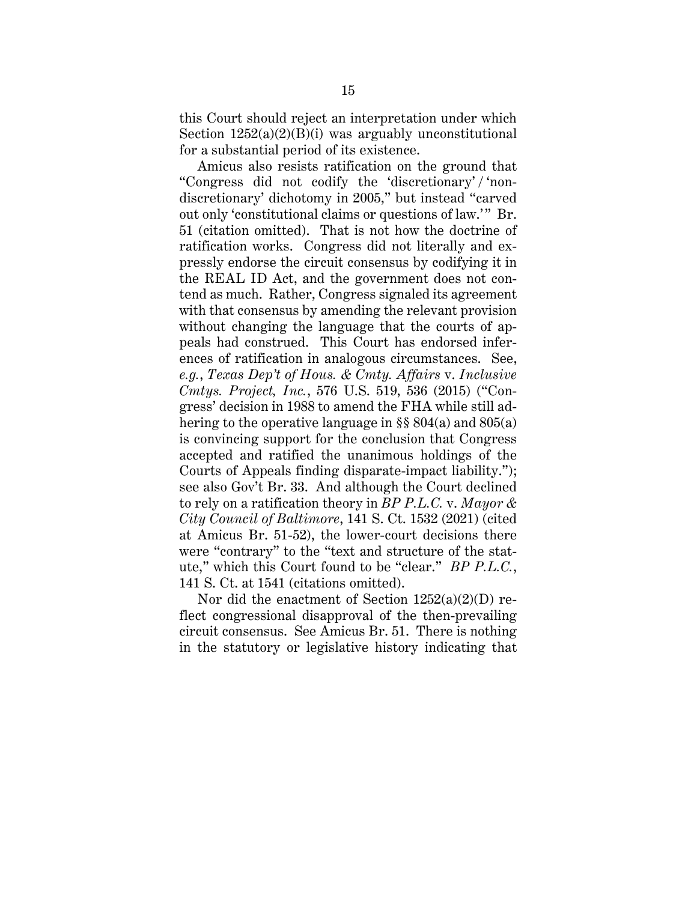this Court should reject an interpretation under which Section  $1252(a)(2)(B)(i)$  was arguably unconstitutional for a substantial period of its existence.

Amicus also resists ratification on the ground that "Congress did not codify the 'discretionary' / 'nondiscretionary' dichotomy in 2005," but instead "carved out only 'constitutional claims or questions of law.'" Br. 51 (citation omitted). That is not how the doctrine of ratification works. Congress did not literally and expressly endorse the circuit consensus by codifying it in the REAL ID Act, and the government does not contend as much. Rather, Congress signaled its agreement with that consensus by amending the relevant provision without changing the language that the courts of appeals had construed. This Court has endorsed inferences of ratification in analogous circumstances. See, *e.g.*, *Texas Dep't of Hous. & Cmty. Affairs* v. *Inclusive Cmtys. Project, Inc.*, 576 U.S. 519, 536 (2015) ("Congress' decision in 1988 to amend the FHA while still adhering to the operative language in §§ 804(a) and 805(a) is convincing support for the conclusion that Congress accepted and ratified the unanimous holdings of the Courts of Appeals finding disparate-impact liability."); see also Gov't Br. 33. And although the Court declined to rely on a ratification theory in *BP P.L.C.* v. *Mayor & City Council of Baltimore*, 141 S. Ct. 1532 (2021) (cited at Amicus Br. 51-52), the lower-court decisions there were "contrary" to the "text and structure of the statute," which this Court found to be "clear." *BP P.L.C.*, 141 S. Ct. at 1541 (citations omitted).

Nor did the enactment of Section  $1252(a)(2)(D)$  reflect congressional disapproval of the then-prevailing circuit consensus. See Amicus Br. 51. There is nothing in the statutory or legislative history indicating that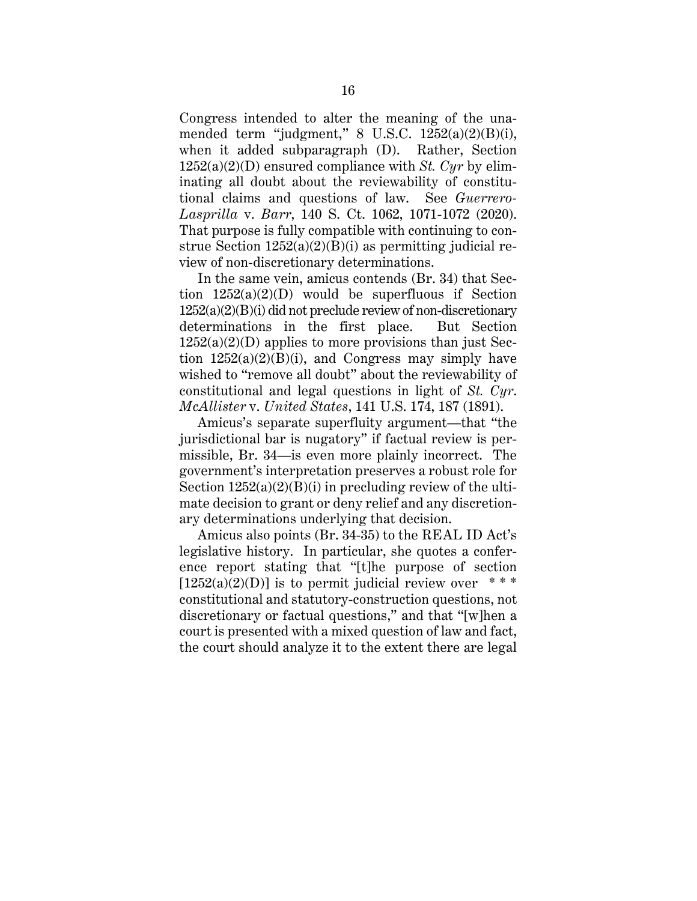Congress intended to alter the meaning of the unamended term "judgment,"  $8 \text{ U.S.C. } 1252(a)(2)(B)(i)$ , when it added subparagraph (D). Rather, Section 1252(a)(2)(D) ensured compliance with *St. Cyr* by eliminating all doubt about the reviewability of constitutional claims and questions of law. See *Guerrero-Lasprilla* v. *Barr*, 140 S. Ct. 1062, 1071-1072 (2020). That purpose is fully compatible with continuing to construe Section  $1252(a)(2)(B)(i)$  as permitting judicial review of non-discretionary determinations.

In the same vein, amicus contends (Br. 34) that Section  $1252(a)(2)(D)$  would be superfluous if Section  $1252(a)(2)(B)(i)$  did not preclude review of non-discretionary determinations in the first place. But Section  $1252(a)(2)(D)$  applies to more provisions than just Section  $1252(a)(2)(B)(i)$ , and Congress may simply have wished to "remove all doubt" about the reviewability of constitutional and legal questions in light of *St. Cyr*. *McAllister* v. *United States*, 141 U.S. 174, 187 (1891).

Amicus's separate superfluity argument—that "the jurisdictional bar is nugatory" if factual review is permissible, Br. 34—is even more plainly incorrect. The government's interpretation preserves a robust role for Section  $1252(a)(2)(B)(i)$  in precluding review of the ultimate decision to grant or deny relief and any discretionary determinations underlying that decision.

Amicus also points (Br. 34-35) to the REAL ID Act's legislative history. In particular, she quotes a conference report stating that "[t]he purpose of section  $[1252(a)(2)(D)]$  is to permit judicial review over \*\*\* constitutional and statutory-construction questions, not discretionary or factual questions," and that "[w]hen a court is presented with a mixed question of law and fact, the court should analyze it to the extent there are legal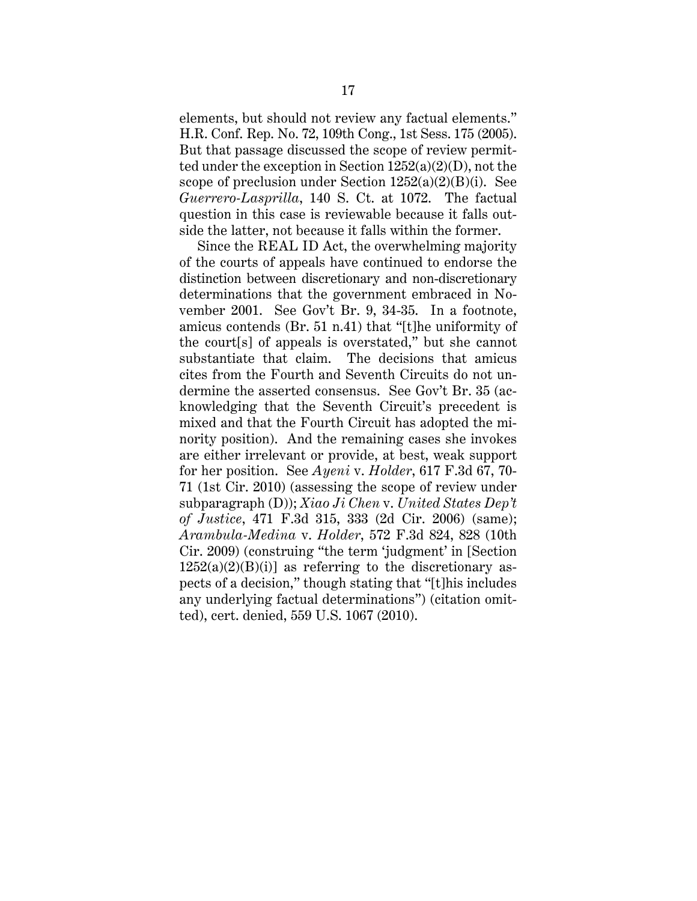elements, but should not review any factual elements." H.R. Conf. Rep. No. 72, 109th Cong., 1st Sess. 175 (2005). But that passage discussed the scope of review permitted under the exception in Section 1252(a)(2)(D), not the scope of preclusion under Section  $1252(a)(2)(B)(i)$ . See *Guerrero-Lasprilla*, 140 S. Ct. at 1072. The factual question in this case is reviewable because it falls outside the latter, not because it falls within the former.

Since the REAL ID Act, the overwhelming majority of the courts of appeals have continued to endorse the distinction between discretionary and non-discretionary determinations that the government embraced in November 2001. See Gov't Br. 9, 34-35. In a footnote, amicus contends (Br. 51 n.41) that "[t]he uniformity of the court[s] of appeals is overstated," but she cannot substantiate that claim. The decisions that amicus cites from the Fourth and Seventh Circuits do not undermine the asserted consensus. See Gov't Br. 35 (acknowledging that the Seventh Circuit's precedent is mixed and that the Fourth Circuit has adopted the minority position). And the remaining cases she invokes are either irrelevant or provide, at best, weak support for her position. See *Ayeni* v. *Holder*, 617 F.3d 67, 70- 71 (1st Cir. 2010) (assessing the scope of review under subparagraph (D)); *Xiao Ji Chen* v. *United States Dep't of Justice*, 471 F.3d 315, 333 (2d Cir. 2006) (same); *Arambula-Medina* v. *Holder*, 572 F.3d 824, 828 (10th Cir. 2009) (construing "the term 'judgment' in [Section  $1252(a)(2)(B)(i)$ ] as referring to the discretionary aspects of a decision," though stating that "[t]his includes any underlying factual determinations") (citation omitted), cert. denied, 559 U.S. 1067 (2010).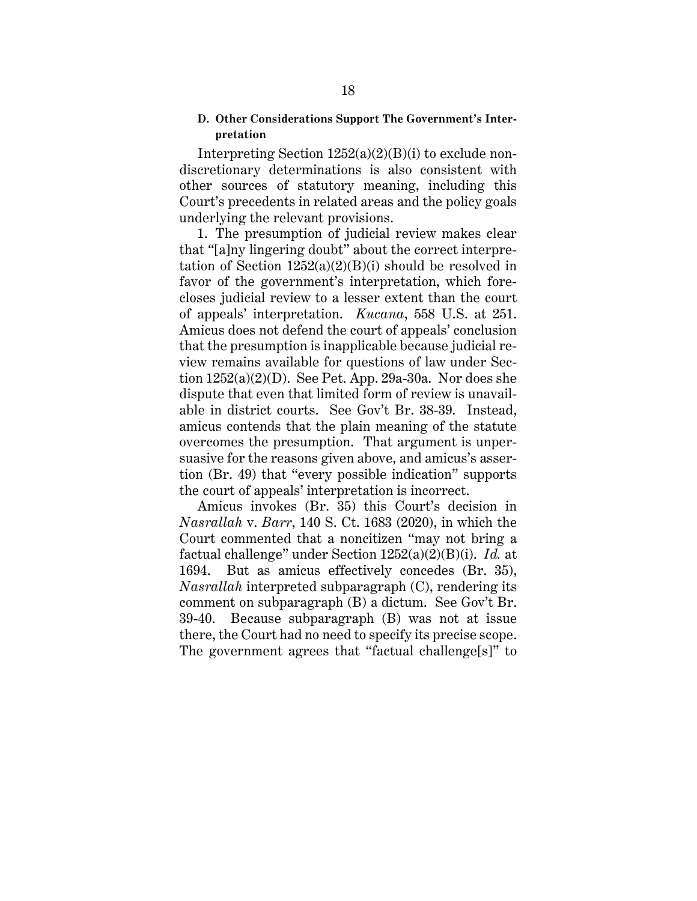### **D. Other Considerations Support The Government's Interpretation**

Interpreting Section  $1252(a)(2)(B)(i)$  to exclude nondiscretionary determinations is also consistent with other sources of statutory meaning, including this Court's precedents in related areas and the policy goals underlying the relevant provisions.

1. The presumption of judicial review makes clear that "[a]ny lingering doubt" about the correct interpretation of Section  $1252(a)(2)(B)(i)$  should be resolved in favor of the government's interpretation, which forecloses judicial review to a lesser extent than the court of appeals' interpretation. *Kucana*, 558 U.S. at 251. Amicus does not defend the court of appeals' conclusion that the presumption is inapplicable because judicial review remains available for questions of law under Section 1252(a)(2)(D). See Pet. App. 29a-30a. Nor does she dispute that even that limited form of review is unavailable in district courts. See Gov't Br. 38-39. Instead, amicus contends that the plain meaning of the statute overcomes the presumption. That argument is unpersuasive for the reasons given above, and amicus's assertion (Br. 49) that "every possible indication" supports the court of appeals' interpretation is incorrect.

Amicus invokes (Br. 35) this Court's decision in *Nasrallah* v. *Barr*, 140 S. Ct. 1683 (2020), in which the Court commented that a noncitizen "may not bring a factual challenge" under Section 1252(a)(2)(B)(i). *Id.* at 1694. But as amicus effectively concedes (Br. 35), *Nasrallah* interpreted subparagraph (C), rendering its comment on subparagraph (B) a dictum. See Gov't Br. 39-40. Because subparagraph (B) was not at issue there, the Court had no need to specify its precise scope. The government agrees that "factual challenge[s]" to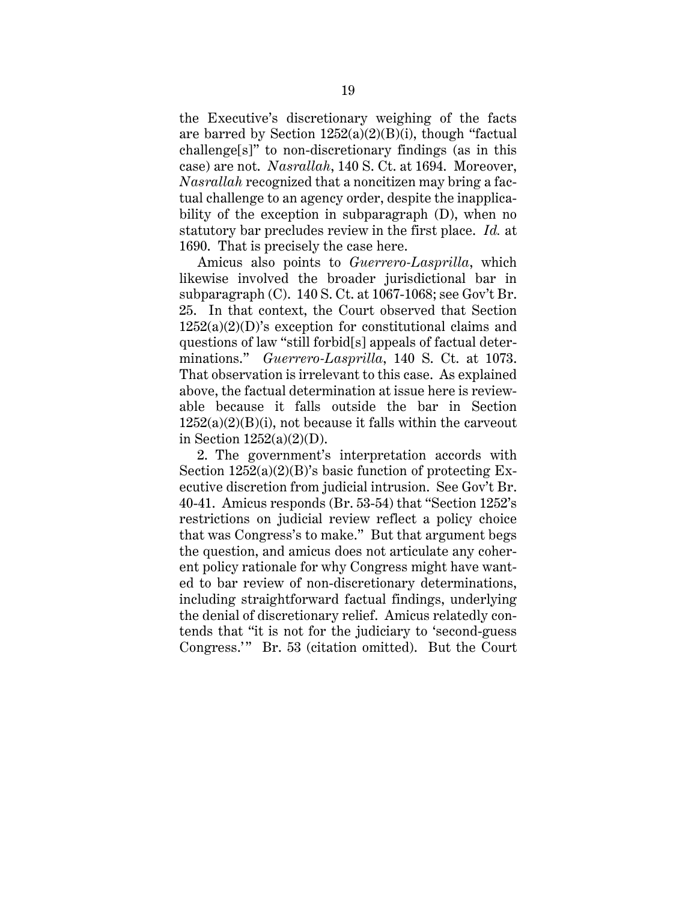the Executive's discretionary weighing of the facts are barred by Section  $1252(a)(2)(B)(i)$ , though "factual challenge[s]" to non-discretionary findings (as in this case) are not. *Nasrallah*, 140 S. Ct. at 1694. Moreover, *Nasrallah* recognized that a noncitizen may bring a factual challenge to an agency order, despite the inapplicability of the exception in subparagraph (D), when no statutory bar precludes review in the first place. *Id.* at 1690. That is precisely the case here.

Amicus also points to *Guerrero-Lasprilla*, which likewise involved the broader jurisdictional bar in subparagraph (C). 140 S. Ct. at 1067-1068; see Gov't Br. 25. In that context, the Court observed that Section 1252(a)(2)(D)'s exception for constitutional claims and questions of law "still forbid[s] appeals of factual determinations." *Guerrero-Lasprilla*, 140 S. Ct. at 1073. That observation is irrelevant to this case. As explained above, the factual determination at issue here is reviewable because it falls outside the bar in Section  $1252(a)(2)(B)(i)$ , not because it falls within the carveout in Section  $1252(a)(2)(D)$ .

2. The government's interpretation accords with Section  $1252(a)(2)(B)$ 's basic function of protecting Executive discretion from judicial intrusion. See Gov't Br. 40-41. Amicus responds (Br. 53-54) that "Section 1252's restrictions on judicial review reflect a policy choice that was Congress's to make." But that argument begs the question, and amicus does not articulate any coherent policy rationale for why Congress might have wanted to bar review of non-discretionary determinations, including straightforward factual findings, underlying the denial of discretionary relief. Amicus relatedly contends that "it is not for the judiciary to 'second-guess Congress.'" Br. 53 (citation omitted). But the Court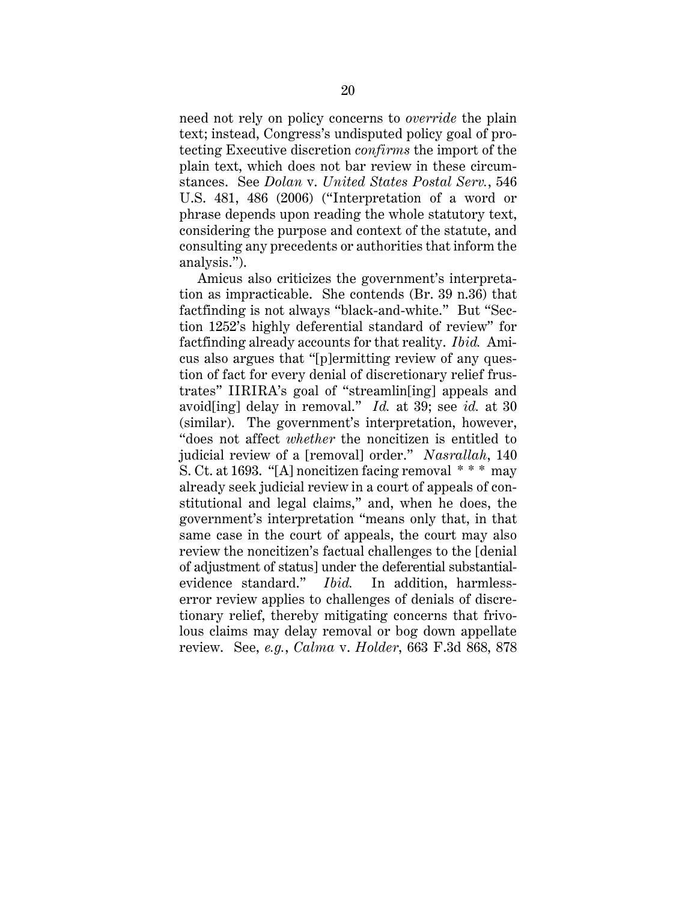need not rely on policy concerns to *override* the plain text; instead, Congress's undisputed policy goal of protecting Executive discretion *confirms* the import of the plain text, which does not bar review in these circumstances. See *Dolan* v. *United States Postal Serv.*, 546 U.S. 481, 486 (2006) ("Interpretation of a word or phrase depends upon reading the whole statutory text, considering the purpose and context of the statute, and consulting any precedents or authorities that inform the analysis.").

Amicus also criticizes the government's interpretation as impracticable. She contends (Br. 39 n.36) that factfinding is not always "black-and-white." But "Section 1252's highly deferential standard of review" for factfinding already accounts for that reality. *Ibid.* Amicus also argues that "[p]ermitting review of any question of fact for every denial of discretionary relief frustrates" IIRIRA's goal of "streamlin[ing] appeals and avoid[ing] delay in removal." *Id.* at 39; see *id.* at 30 (similar). The government's interpretation, however, "does not affect *whether* the noncitizen is entitled to judicial review of a [removal] order." *Nasrallah*, 140 S. Ct. at 1693. "[A] noncitizen facing removal \* \* \* may already seek judicial review in a court of appeals of constitutional and legal claims," and, when he does, the government's interpretation "means only that, in that same case in the court of appeals, the court may also review the noncitizen's factual challenges to the [denial of adjustment of status] under the deferential substantialevidence standard." *Ibid.* In addition, harmlesserror review applies to challenges of denials of discretionary relief, thereby mitigating concerns that frivolous claims may delay removal or bog down appellate review. See, *e.g.*, *Calma* v. *Holder*, 663 F.3d 868, 878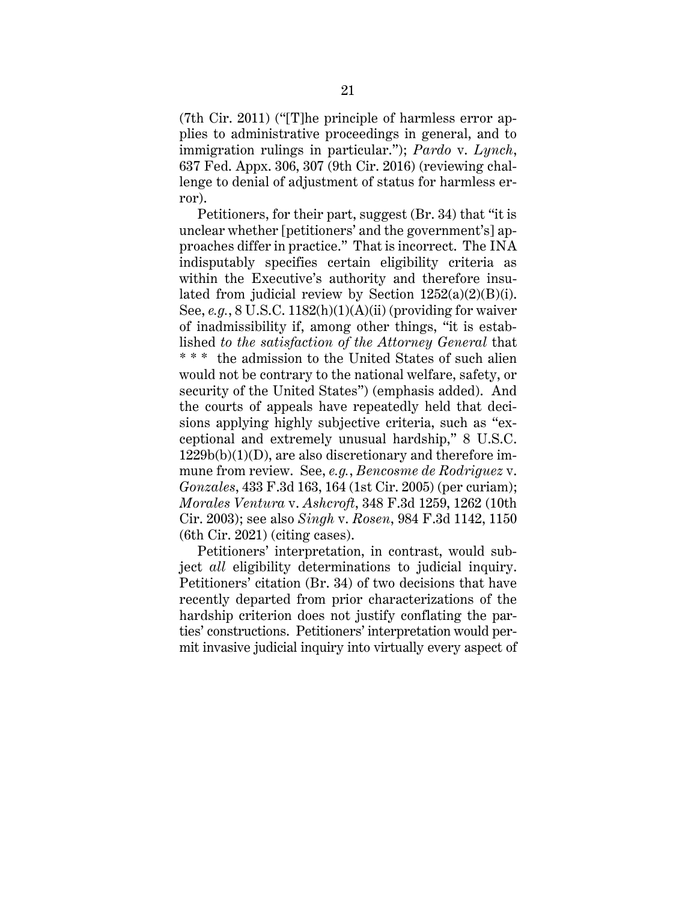(7th Cir. 2011) ("[T]he principle of harmless error applies to administrative proceedings in general, and to immigration rulings in particular."); *Pardo* v. *Lynch*, 637 Fed. Appx. 306, 307 (9th Cir. 2016) (reviewing challenge to denial of adjustment of status for harmless error).

Petitioners, for their part, suggest (Br. 34) that "it is unclear whether [petitioners' and the government's] approaches differ in practice." That is incorrect. The INA indisputably specifies certain eligibility criteria as within the Executive's authority and therefore insulated from judicial review by Section  $1252(a)(2)(B)(i)$ . See, *e.g.*, 8 U.S.C. 1182(h)(1)(A)(ii) (providing for waiver of inadmissibility if, among other things, "it is established *to the satisfaction of the Attorney General* that \* \* \* the admission to the United States of such alien would not be contrary to the national welfare, safety, or security of the United States") (emphasis added). And the courts of appeals have repeatedly held that decisions applying highly subjective criteria, such as "exceptional and extremely unusual hardship," 8 U.S.C. 1229b(b)(1)(D), are also discretionary and therefore immune from review. See, *e.g.*, *Bencosme de Rodriguez* v. *Gonzales*, 433 F.3d 163, 164 (1st Cir. 2005) (per curiam); *Morales Ventura* v. *Ashcroft*, 348 F.3d 1259, 1262 (10th Cir. 2003); see also *Singh* v. *Rosen*, 984 F.3d 1142, 1150 (6th Cir. 2021) (citing cases).

Petitioners' interpretation, in contrast, would subject *all* eligibility determinations to judicial inquiry. Petitioners' citation (Br. 34) of two decisions that have recently departed from prior characterizations of the hardship criterion does not justify conflating the parties' constructions. Petitioners' interpretation would permit invasive judicial inquiry into virtually every aspect of